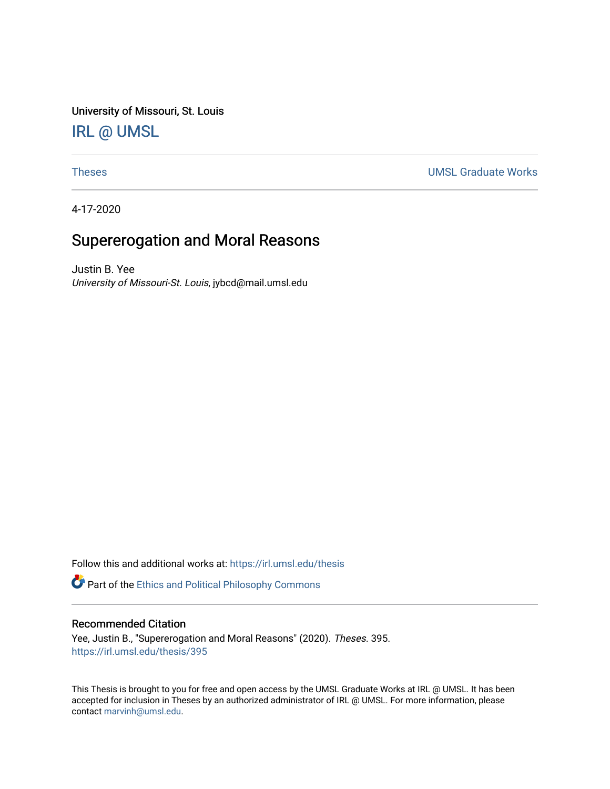University of Missouri, St. Louis [IRL @ UMSL](https://irl.umsl.edu/) 

[Theses](https://irl.umsl.edu/thesis) [UMSL Graduate Works](https://irl.umsl.edu/grad) 

4-17-2020

# Supererogation and Moral Reasons

Justin B. Yee University of Missouri-St. Louis, jybcd@mail.umsl.edu

Follow this and additional works at: [https://irl.umsl.edu/thesis](https://irl.umsl.edu/thesis?utm_source=irl.umsl.edu%2Fthesis%2F395&utm_medium=PDF&utm_campaign=PDFCoverPages) 

Part of the [Ethics and Political Philosophy Commons](https://network.bepress.com/hgg/discipline/529?utm_source=irl.umsl.edu%2Fthesis%2F395&utm_medium=PDF&utm_campaign=PDFCoverPages) 

## Recommended Citation

Yee, Justin B., "Supererogation and Moral Reasons" (2020). Theses. 395. [https://irl.umsl.edu/thesis/395](https://irl.umsl.edu/thesis/395?utm_source=irl.umsl.edu%2Fthesis%2F395&utm_medium=PDF&utm_campaign=PDFCoverPages) 

This Thesis is brought to you for free and open access by the UMSL Graduate Works at IRL @ UMSL. It has been accepted for inclusion in Theses by an authorized administrator of IRL @ UMSL. For more information, please contact [marvinh@umsl.edu.](mailto:marvinh@umsl.edu)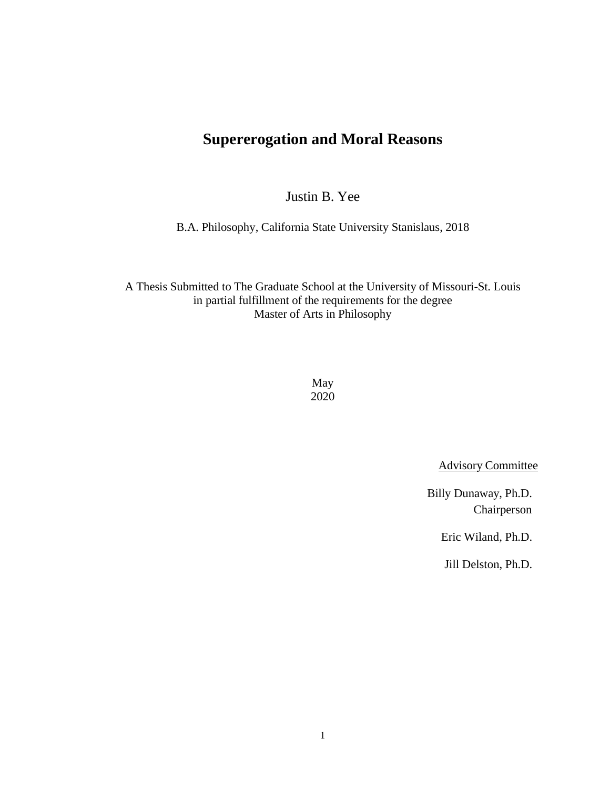# **Supererogation and Moral Reasons**

Justin B. Yee

B.A. Philosophy, California State University Stanislaus, 2018

A Thesis Submitted to The Graduate School at the University of Missouri-St. Louis in partial fulfillment of the requirements for the degree Master of Arts in Philosophy

> May 2020

> > Advisory Committee

Billy Dunaway, Ph.D. Chairperson

Eric Wiland, Ph.D.

Jill Delston, Ph.D.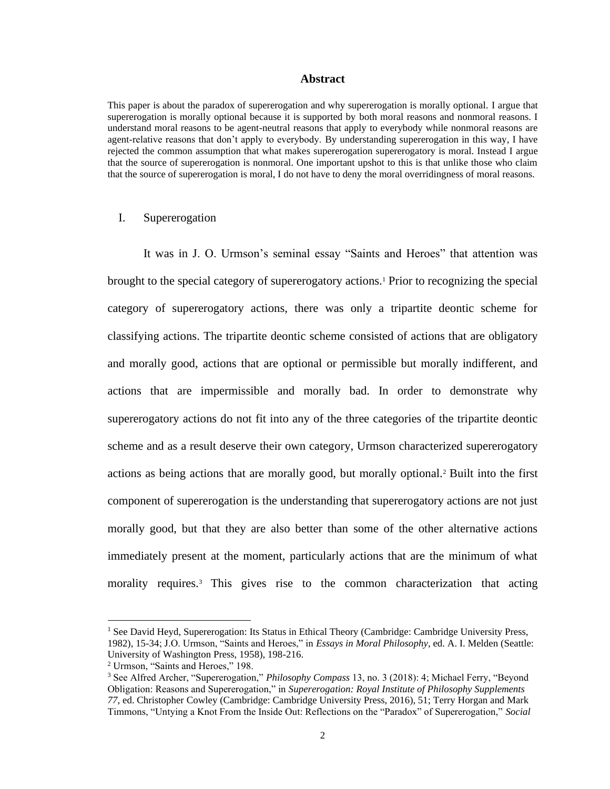#### **Abstract**

This paper is about the paradox of supererogation and why supererogation is morally optional. I argue that supererogation is morally optional because it is supported by both moral reasons and nonmoral reasons. I understand moral reasons to be agent-neutral reasons that apply to everybody while nonmoral reasons are agent-relative reasons that don't apply to everybody. By understanding supererogation in this way, I have rejected the common assumption that what makes supererogation supererogatory is moral. Instead I argue that the source of supererogation is nonmoral. One important upshot to this is that unlike those who claim that the source of supererogation is moral, I do not have to deny the moral overridingness of moral reasons.

#### I. Supererogation

It was in J. O. Urmson's seminal essay "Saints and Heroes" that attention was brought to the special category of supererogatory actions.<sup>1</sup> Prior to recognizing the special category of supererogatory actions, there was only a tripartite deontic scheme for classifying actions. The tripartite deontic scheme consisted of actions that are obligatory and morally good, actions that are optional or permissible but morally indifferent, and actions that are impermissible and morally bad. In order to demonstrate why supererogatory actions do not fit into any of the three categories of the tripartite deontic scheme and as a result deserve their own category, Urmson characterized supererogatory actions as being actions that are morally good, but morally optional.<sup>2</sup> Built into the first component of supererogation is the understanding that supererogatory actions are not just morally good, but that they are also better than some of the other alternative actions immediately present at the moment, particularly actions that are the minimum of what morality requires.<sup>3</sup> This gives rise to the common characterization that acting

<sup>&</sup>lt;sup>1</sup> See David Heyd, Supererogation: Its Status in Ethical Theory (Cambridge: Cambridge University Press, 1982), 15-34; J.O. Urmson, "Saints and Heroes," in *Essays in Moral Philosophy*, ed. A. I. Melden (Seattle: University of Washington Press, 1958), 198-216.

<sup>2</sup> Urmson, "Saints and Heroes," 198.

<sup>3</sup> See Alfred Archer, "Supererogation," *Philosophy Compass* 13, no. 3 (2018): 4; Michael Ferry, "Beyond Obligation: Reasons and Supererogation," in *Supererogation: Royal Institute of Philosophy Supplements 77*, ed. Christopher Cowley (Cambridge: Cambridge University Press, 2016), 51; Terry Horgan and Mark Timmons, "Untying a Knot From the Inside Out: Reflections on the "Paradox" of Supererogation," *Social*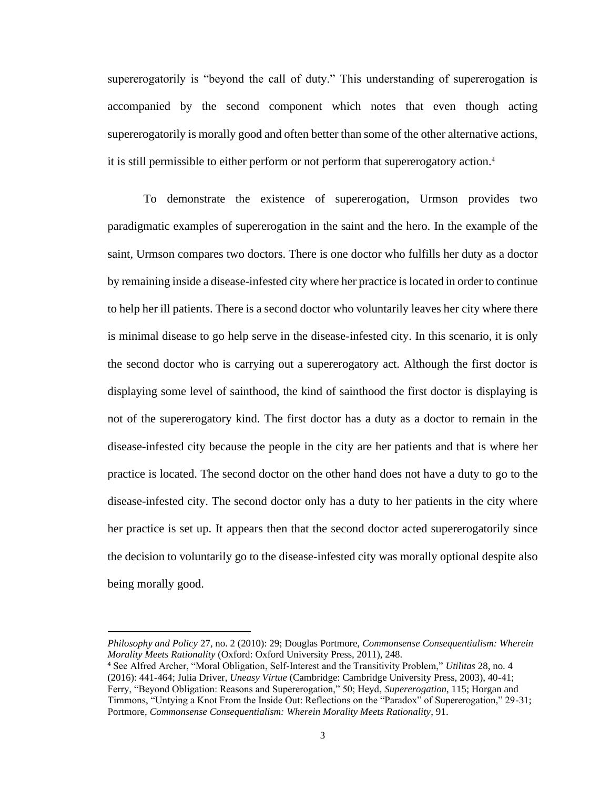supererogatorily is "beyond the call of duty." This understanding of supererogation is accompanied by the second component which notes that even though acting supererogatorily is morally good and often better than some of the other alternative actions, it is still permissible to either perform or not perform that supererogatory action.<sup>4</sup>

To demonstrate the existence of supererogation, Urmson provides two paradigmatic examples of supererogation in the saint and the hero. In the example of the saint, Urmson compares two doctors. There is one doctor who fulfills her duty as a doctor by remaining inside a disease-infested city where her practice is located in order to continue to help her ill patients. There is a second doctor who voluntarily leaves her city where there is minimal disease to go help serve in the disease-infested city. In this scenario, it is only the second doctor who is carrying out a supererogatory act. Although the first doctor is displaying some level of sainthood, the kind of sainthood the first doctor is displaying is not of the supererogatory kind. The first doctor has a duty as a doctor to remain in the disease-infested city because the people in the city are her patients and that is where her practice is located. The second doctor on the other hand does not have a duty to go to the disease-infested city. The second doctor only has a duty to her patients in the city where her practice is set up. It appears then that the second doctor acted supererogatorily since the decision to voluntarily go to the disease-infested city was morally optional despite also being morally good.

*Philosophy and Policy* 27, no. 2 (2010): 29; Douglas Portmore, *Commonsense Consequentialism: Wherein Morality Meets Rationality* (Oxford: Oxford University Press, 2011), 248.

<sup>4</sup> See Alfred Archer, "Moral Obligation, Self-Interest and the Transitivity Problem," *Utilitas* 28, no. 4 (2016): 441-464; Julia Driver, *Uneasy Virtue* (Cambridge: Cambridge University Press, 2003), 40-41; Ferry, "Beyond Obligation: Reasons and Supererogation," 50; Heyd, *Supererogation*, 115; Horgan and Timmons, "Untying a Knot From the Inside Out: Reflections on the "Paradox" of Supererogation," 29-31; Portmore, *Commonsense Consequentialism: Wherein Morality Meets Rationality*, 91.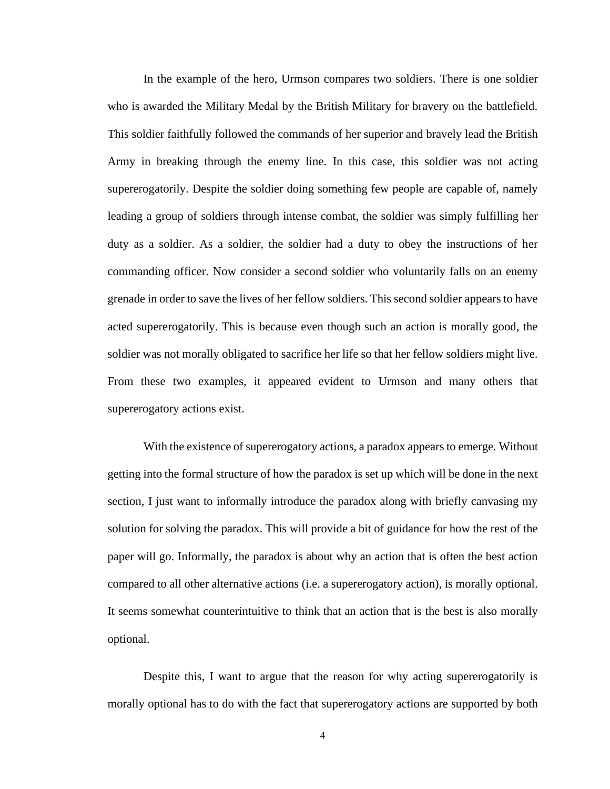In the example of the hero, Urmson compares two soldiers. There is one soldier who is awarded the Military Medal by the British Military for bravery on the battlefield. This soldier faithfully followed the commands of her superior and bravely lead the British Army in breaking through the enemy line. In this case, this soldier was not acting supererogatorily. Despite the soldier doing something few people are capable of, namely leading a group of soldiers through intense combat, the soldier was simply fulfilling her duty as a soldier. As a soldier, the soldier had a duty to obey the instructions of her commanding officer. Now consider a second soldier who voluntarily falls on an enemy grenade in order to save the lives of her fellow soldiers. This second soldier appears to have acted supererogatorily. This is because even though such an action is morally good, the soldier was not morally obligated to sacrifice her life so that her fellow soldiers might live. From these two examples, it appeared evident to Urmson and many others that supererogatory actions exist.

With the existence of supererogatory actions, a paradox appears to emerge. Without getting into the formal structure of how the paradox is set up which will be done in the next section, I just want to informally introduce the paradox along with briefly canvasing my solution for solving the paradox. This will provide a bit of guidance for how the rest of the paper will go. Informally, the paradox is about why an action that is often the best action compared to all other alternative actions (i.e. a supererogatory action), is morally optional. It seems somewhat counterintuitive to think that an action that is the best is also morally optional.

Despite this, I want to argue that the reason for why acting supererogatorily is morally optional has to do with the fact that supererogatory actions are supported by both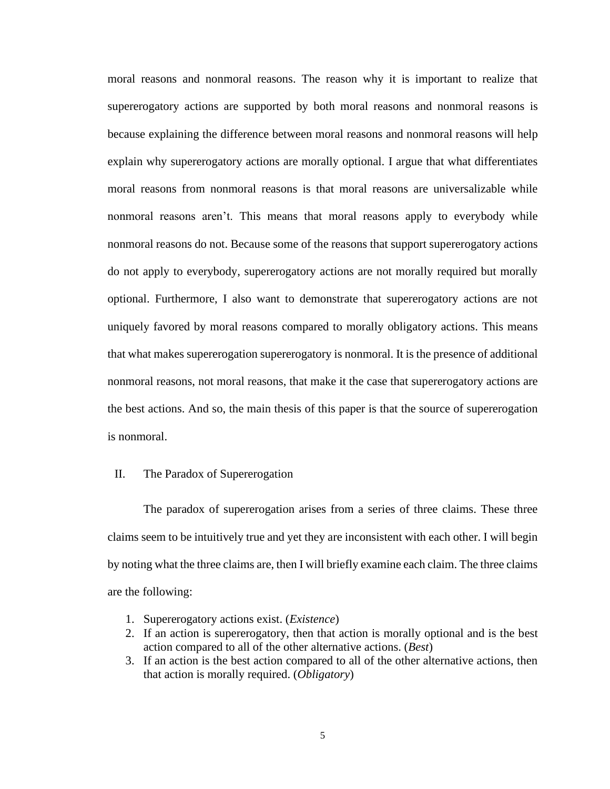moral reasons and nonmoral reasons. The reason why it is important to realize that supererogatory actions are supported by both moral reasons and nonmoral reasons is because explaining the difference between moral reasons and nonmoral reasons will help explain why supererogatory actions are morally optional. I argue that what differentiates moral reasons from nonmoral reasons is that moral reasons are universalizable while nonmoral reasons aren't. This means that moral reasons apply to everybody while nonmoral reasons do not. Because some of the reasons that support supererogatory actions do not apply to everybody, supererogatory actions are not morally required but morally optional. Furthermore, I also want to demonstrate that supererogatory actions are not uniquely favored by moral reasons compared to morally obligatory actions. This means that what makes supererogation supererogatory is nonmoral. It is the presence of additional nonmoral reasons, not moral reasons, that make it the case that supererogatory actions are the best actions. And so, the main thesis of this paper is that the source of supererogation is nonmoral.

## II. The Paradox of Supererogation

The paradox of supererogation arises from a series of three claims. These three claims seem to be intuitively true and yet they are inconsistent with each other. I will begin by noting what the three claims are, then I will briefly examine each claim. The three claims are the following:

- 1. Supererogatory actions exist. (*Existence*)
- 2. If an action is supererogatory, then that action is morally optional and is the best action compared to all of the other alternative actions. (*Best*)
- 3. If an action is the best action compared to all of the other alternative actions, then that action is morally required. (*Obligatory*)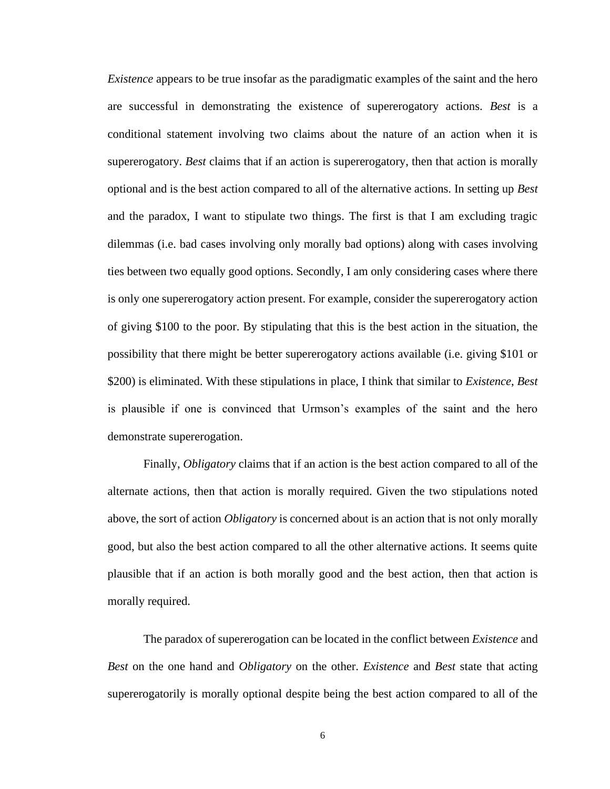*Existence* appears to be true insofar as the paradigmatic examples of the saint and the hero are successful in demonstrating the existence of supererogatory actions. *Best* is a conditional statement involving two claims about the nature of an action when it is supererogatory. *Best* claims that if an action is supererogatory, then that action is morally optional and is the best action compared to all of the alternative actions. In setting up *Best* and the paradox, I want to stipulate two things. The first is that I am excluding tragic dilemmas (i.e. bad cases involving only morally bad options) along with cases involving ties between two equally good options. Secondly, I am only considering cases where there is only one supererogatory action present. For example, consider the supererogatory action of giving \$100 to the poor. By stipulating that this is the best action in the situation, the possibility that there might be better supererogatory actions available (i.e. giving \$101 or \$200) is eliminated. With these stipulations in place, I think that similar to *Existence*, *Best* is plausible if one is convinced that Urmson's examples of the saint and the hero demonstrate supererogation.

Finally, *Obligatory* claims that if an action is the best action compared to all of the alternate actions, then that action is morally required. Given the two stipulations noted above, the sort of action *Obligatory* is concerned about is an action that is not only morally good, but also the best action compared to all the other alternative actions. It seems quite plausible that if an action is both morally good and the best action, then that action is morally required.

The paradox of supererogation can be located in the conflict between *Existence* and *Best* on the one hand and *Obligatory* on the other. *Existence* and *Best* state that acting supererogatorily is morally optional despite being the best action compared to all of the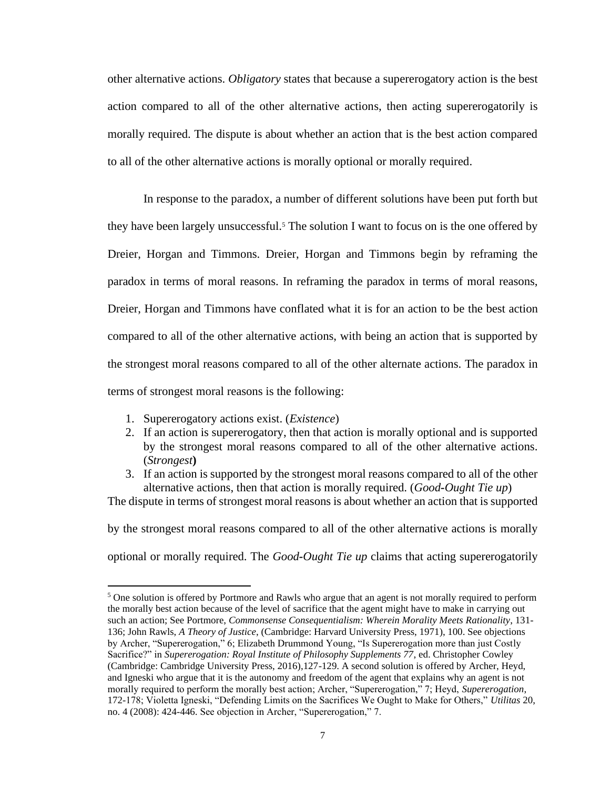other alternative actions. *Obligatory* states that because a supererogatory action is the best action compared to all of the other alternative actions, then acting supererogatorily is morally required. The dispute is about whether an action that is the best action compared to all of the other alternative actions is morally optional or morally required.

In response to the paradox, a number of different solutions have been put forth but they have been largely unsuccessful.<sup>5</sup> The solution I want to focus on is the one offered by Dreier, Horgan and Timmons. Dreier, Horgan and Timmons begin by reframing the paradox in terms of moral reasons. In reframing the paradox in terms of moral reasons, Dreier, Horgan and Timmons have conflated what it is for an action to be the best action compared to all of the other alternative actions, with being an action that is supported by the strongest moral reasons compared to all of the other alternate actions. The paradox in terms of strongest moral reasons is the following:

- 1. Supererogatory actions exist. (*Existence*)
- 2. If an action is supererogatory, then that action is morally optional and is supported by the strongest moral reasons compared to all of the other alternative actions. (*Strongest***)**
- 3. If an action is supported by the strongest moral reasons compared to all of the other alternative actions, then that action is morally required. (*Good-Ought Tie up*)

The dispute in terms of strongest moral reasons is about whether an action that is supported

by the strongest moral reasons compared to all of the other alternative actions is morally

optional or morally required. The *Good-Ought Tie up* claims that acting supererogatorily

<sup>&</sup>lt;sup>5</sup> One solution is offered by Portmore and Rawls who argue that an agent is not morally required to perform the morally best action because of the level of sacrifice that the agent might have to make in carrying out such an action; See Portmore, *Commonsense Consequentialism: Wherein Morality Meets Rationality*, 131- 136; John Rawls, *A Theory of Justice*, (Cambridge: Harvard University Press, 1971), 100. See objections by Archer, "Supererogation," 6; Elizabeth Drummond Young, "Is Supererogation more than just Costly Sacrifice?" in *Supererogation: Royal Institute of Philosophy Supplements 77*, ed. Christopher Cowley (Cambridge: Cambridge University Press, 2016),127-129. A second solution is offered by Archer, Heyd, and Igneski who argue that it is the autonomy and freedom of the agent that explains why an agent is not morally required to perform the morally best action; Archer, "Supererogation," 7; Heyd, *Supererogation*, 172-178; Violetta Igneski, "Defending Limits on the Sacrifices We Ought to Make for Others," *Utilitas* 20, no. 4 (2008): 424-446. See objection in Archer, "Supererogation," 7.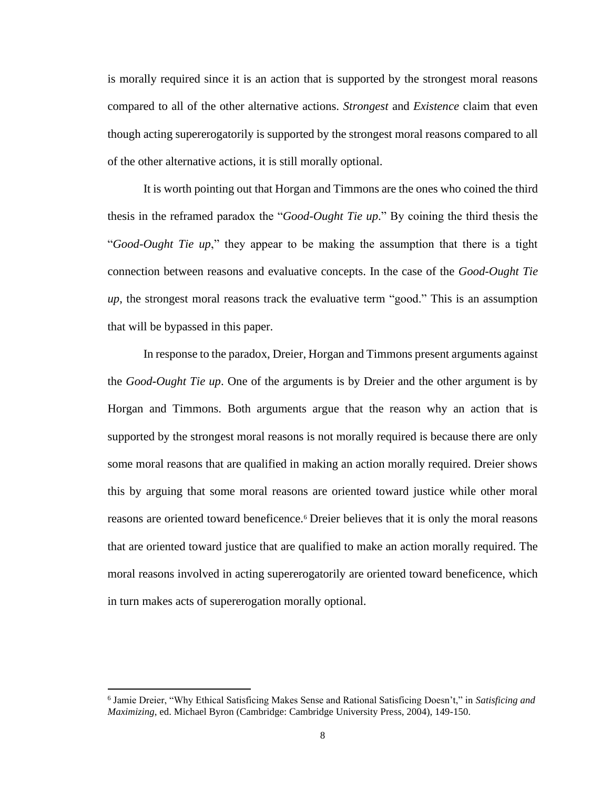is morally required since it is an action that is supported by the strongest moral reasons compared to all of the other alternative actions. *Strongest* and *Existence* claim that even though acting supererogatorily is supported by the strongest moral reasons compared to all of the other alternative actions, it is still morally optional.

It is worth pointing out that Horgan and Timmons are the ones who coined the third thesis in the reframed paradox the "*Good-Ought Tie up*." By coining the third thesis the "*Good-Ought Tie up*," they appear to be making the assumption that there is a tight connection between reasons and evaluative concepts. In the case of the *Good-Ought Tie up*, the strongest moral reasons track the evaluative term "good." This is an assumption that will be bypassed in this paper.

In response to the paradox, Dreier, Horgan and Timmons present arguments against the *Good-Ought Tie up*. One of the arguments is by Dreier and the other argument is by Horgan and Timmons. Both arguments argue that the reason why an action that is supported by the strongest moral reasons is not morally required is because there are only some moral reasons that are qualified in making an action morally required. Dreier shows this by arguing that some moral reasons are oriented toward justice while other moral reasons are oriented toward beneficence.<sup>6</sup> Dreier believes that it is only the moral reasons that are oriented toward justice that are qualified to make an action morally required. The moral reasons involved in acting supererogatorily are oriented toward beneficence, which in turn makes acts of supererogation morally optional.

<sup>6</sup> Jamie Dreier, "Why Ethical Satisficing Makes Sense and Rational Satisficing Doesn't," in *Satisficing and Maximizing*, ed. Michael Byron (Cambridge: Cambridge University Press, 2004), 149-150.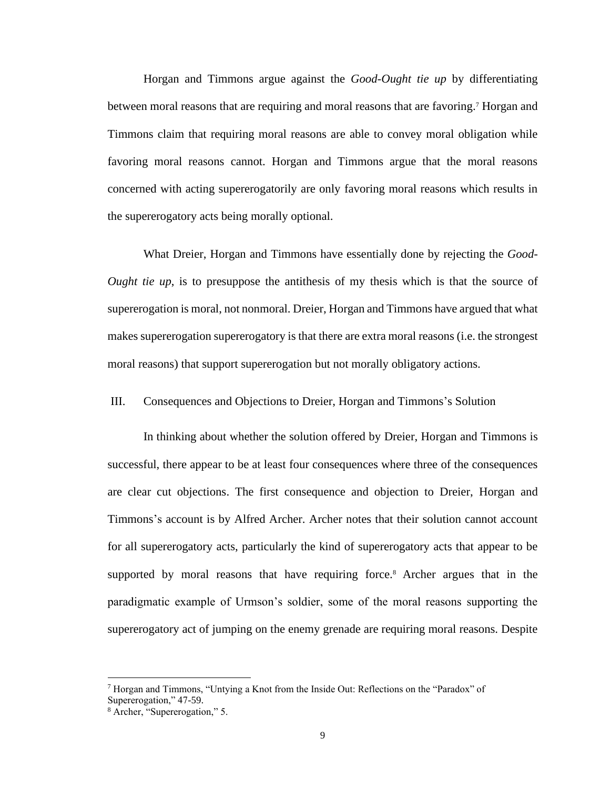Horgan and Timmons argue against the *Good-Ought tie up* by differentiating between moral reasons that are requiring and moral reasons that are favoring.<sup>7</sup> Horgan and Timmons claim that requiring moral reasons are able to convey moral obligation while favoring moral reasons cannot. Horgan and Timmons argue that the moral reasons concerned with acting supererogatorily are only favoring moral reasons which results in the supererogatory acts being morally optional.

What Dreier, Horgan and Timmons have essentially done by rejecting the *Good-Ought tie up*, is to presuppose the antithesis of my thesis which is that the source of supererogation is moral, not nonmoral. Dreier, Horgan and Timmons have argued that what makes supererogation supererogatory is that there are extra moral reasons (i.e. the strongest moral reasons) that support supererogation but not morally obligatory actions.

# III. Consequences and Objections to Dreier, Horgan and Timmons's Solution

In thinking about whether the solution offered by Dreier, Horgan and Timmons is successful, there appear to be at least four consequences where three of the consequences are clear cut objections. The first consequence and objection to Dreier, Horgan and Timmons's account is by Alfred Archer. Archer notes that their solution cannot account for all supererogatory acts, particularly the kind of supererogatory acts that appear to be supported by moral reasons that have requiring force.<sup>8</sup> Archer argues that in the paradigmatic example of Urmson's soldier, some of the moral reasons supporting the supererogatory act of jumping on the enemy grenade are requiring moral reasons. Despite

<sup>&</sup>lt;sup>7</sup> Horgan and Timmons, "Untying a Knot from the Inside Out: Reflections on the "Paradox" of Supererogation," 47-59.

<sup>8</sup> Archer, "Supererogation," 5.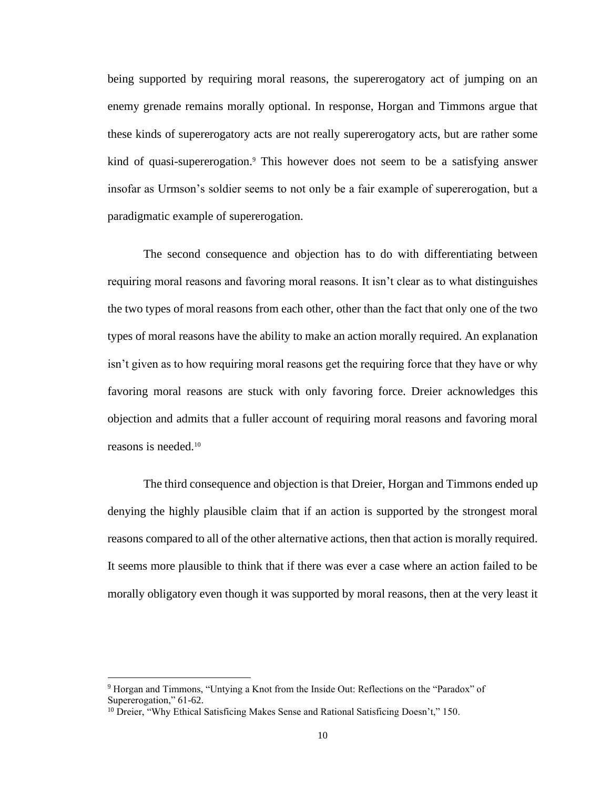being supported by requiring moral reasons, the supererogatory act of jumping on an enemy grenade remains morally optional. In response, Horgan and Timmons argue that these kinds of supererogatory acts are not really supererogatory acts, but are rather some kind of quasi-supererogation.<sup>9</sup> This however does not seem to be a satisfying answer insofar as Urmson's soldier seems to not only be a fair example of supererogation, but a paradigmatic example of supererogation.

The second consequence and objection has to do with differentiating between requiring moral reasons and favoring moral reasons. It isn't clear as to what distinguishes the two types of moral reasons from each other, other than the fact that only one of the two types of moral reasons have the ability to make an action morally required. An explanation isn't given as to how requiring moral reasons get the requiring force that they have or why favoring moral reasons are stuck with only favoring force. Dreier acknowledges this objection and admits that a fuller account of requiring moral reasons and favoring moral reasons is needed.<sup>10</sup>

The third consequence and objection is that Dreier, Horgan and Timmons ended up denying the highly plausible claim that if an action is supported by the strongest moral reasons compared to all of the other alternative actions, then that action is morally required. It seems more plausible to think that if there was ever a case where an action failed to be morally obligatory even though it was supported by moral reasons, then at the very least it

<sup>9</sup> Horgan and Timmons, "Untying a Knot from the Inside Out: Reflections on the "Paradox" of Supererogation," 61-62.

<sup>&</sup>lt;sup>10</sup> Dreier, "Why Ethical Satisficing Makes Sense and Rational Satisficing Doesn't," 150.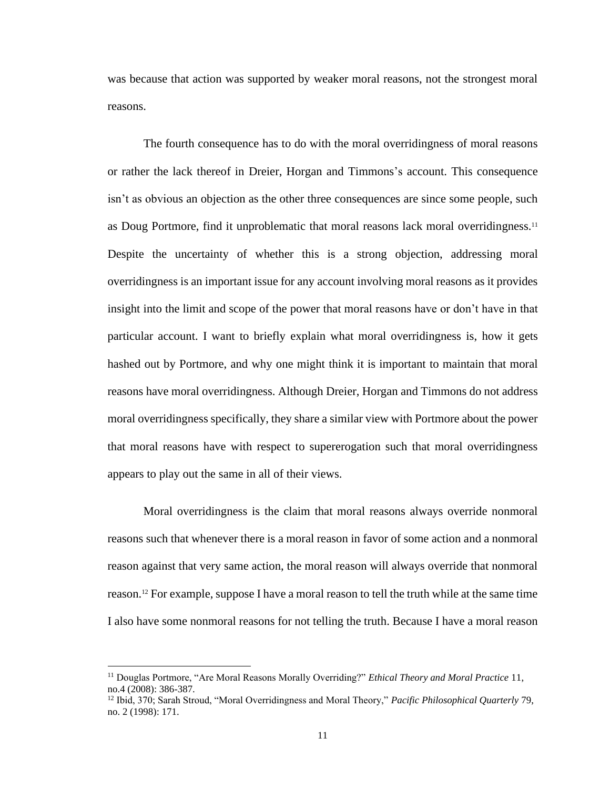was because that action was supported by weaker moral reasons, not the strongest moral reasons.

The fourth consequence has to do with the moral overridingness of moral reasons or rather the lack thereof in Dreier, Horgan and Timmons's account. This consequence isn't as obvious an objection as the other three consequences are since some people, such as Doug Portmore, find it unproblematic that moral reasons lack moral overridingness.<sup>11</sup> Despite the uncertainty of whether this is a strong objection, addressing moral overridingness is an important issue for any account involving moral reasons as it provides insight into the limit and scope of the power that moral reasons have or don't have in that particular account. I want to briefly explain what moral overridingness is, how it gets hashed out by Portmore, and why one might think it is important to maintain that moral reasons have moral overridingness. Although Dreier, Horgan and Timmons do not address moral overridingness specifically, they share a similar view with Portmore about the power that moral reasons have with respect to supererogation such that moral overridingness appears to play out the same in all of their views.

Moral overridingness is the claim that moral reasons always override nonmoral reasons such that whenever there is a moral reason in favor of some action and a nonmoral reason against that very same action, the moral reason will always override that nonmoral reason.<sup>12</sup> For example, suppose I have a moral reason to tell the truth while at the same time I also have some nonmoral reasons for not telling the truth. Because I have a moral reason

<sup>11</sup> Douglas Portmore, "Are Moral Reasons Morally Overriding?" *Ethical Theory and Moral Practice* 11, no.4 (2008): 386-387.

<sup>12</sup> Ibid, 370; Sarah Stroud, "Moral Overridingness and Moral Theory," *Pacific Philosophical Quarterly* 79, no. 2 (1998): 171.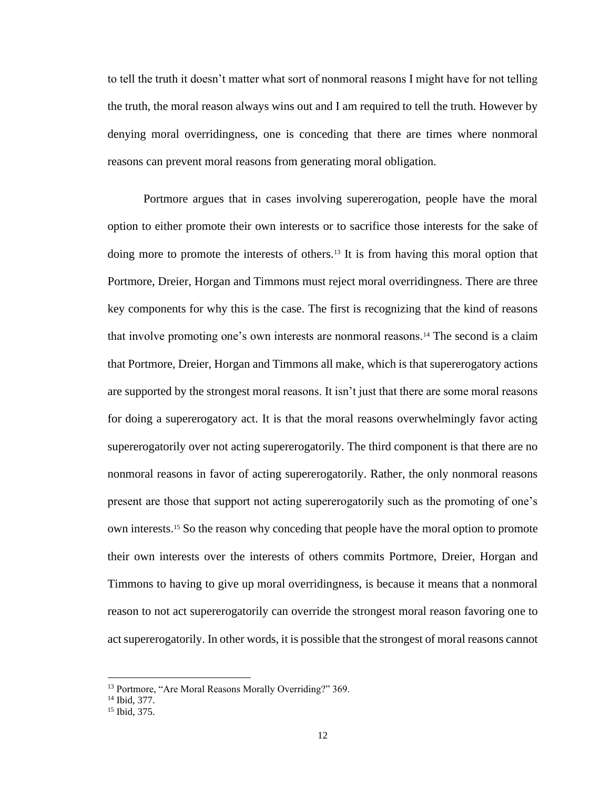to tell the truth it doesn't matter what sort of nonmoral reasons I might have for not telling the truth, the moral reason always wins out and I am required to tell the truth. However by denying moral overridingness, one is conceding that there are times where nonmoral reasons can prevent moral reasons from generating moral obligation.

Portmore argues that in cases involving supererogation, people have the moral option to either promote their own interests or to sacrifice those interests for the sake of doing more to promote the interests of others.<sup>13</sup> It is from having this moral option that Portmore, Dreier, Horgan and Timmons must reject moral overridingness. There are three key components for why this is the case. The first is recognizing that the kind of reasons that involve promoting one's own interests are nonmoral reasons.<sup>14</sup> The second is a claim that Portmore, Dreier, Horgan and Timmons all make, which is that supererogatory actions are supported by the strongest moral reasons. It isn't just that there are some moral reasons for doing a supererogatory act. It is that the moral reasons overwhelmingly favor acting supererogatorily over not acting supererogatorily. The third component is that there are no nonmoral reasons in favor of acting supererogatorily. Rather, the only nonmoral reasons present are those that support not acting supererogatorily such as the promoting of one's own interests.<sup>15</sup> So the reason why conceding that people have the moral option to promote their own interests over the interests of others commits Portmore, Dreier, Horgan and Timmons to having to give up moral overridingness, is because it means that a nonmoral reason to not act supererogatorily can override the strongest moral reason favoring one to act supererogatorily. In other words, it is possible that the strongest of moral reasons cannot

<sup>&</sup>lt;sup>13</sup> Portmore, "Are Moral Reasons Morally Overriding?" 369.

<sup>14</sup> Ibid, 377.

<sup>15</sup> Ibid, 375.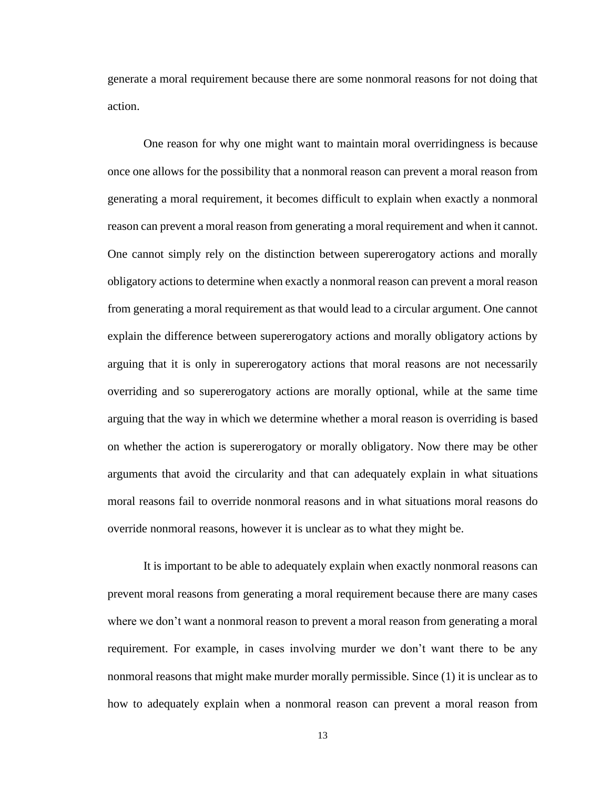generate a moral requirement because there are some nonmoral reasons for not doing that action.

One reason for why one might want to maintain moral overridingness is because once one allows for the possibility that a nonmoral reason can prevent a moral reason from generating a moral requirement, it becomes difficult to explain when exactly a nonmoral reason can prevent a moral reason from generating a moral requirement and when it cannot. One cannot simply rely on the distinction between supererogatory actions and morally obligatory actions to determine when exactly a nonmoral reason can prevent a moral reason from generating a moral requirement as that would lead to a circular argument. One cannot explain the difference between supererogatory actions and morally obligatory actions by arguing that it is only in supererogatory actions that moral reasons are not necessarily overriding and so supererogatory actions are morally optional, while at the same time arguing that the way in which we determine whether a moral reason is overriding is based on whether the action is supererogatory or morally obligatory. Now there may be other arguments that avoid the circularity and that can adequately explain in what situations moral reasons fail to override nonmoral reasons and in what situations moral reasons do override nonmoral reasons, however it is unclear as to what they might be.

It is important to be able to adequately explain when exactly nonmoral reasons can prevent moral reasons from generating a moral requirement because there are many cases where we don't want a nonmoral reason to prevent a moral reason from generating a moral requirement. For example, in cases involving murder we don't want there to be any nonmoral reasons that might make murder morally permissible. Since (1) it is unclear as to how to adequately explain when a nonmoral reason can prevent a moral reason from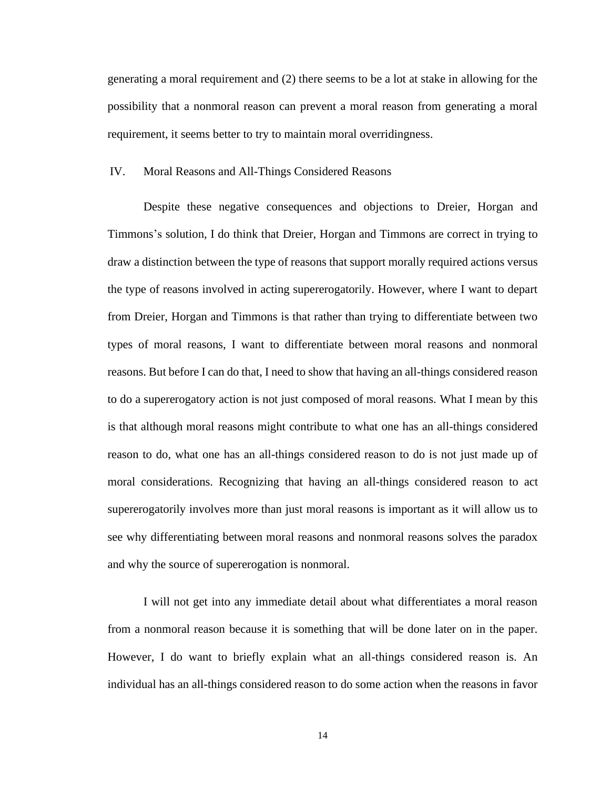generating a moral requirement and (2) there seems to be a lot at stake in allowing for the possibility that a nonmoral reason can prevent a moral reason from generating a moral requirement, it seems better to try to maintain moral overridingness.

#### IV. Moral Reasons and All-Things Considered Reasons

Despite these negative consequences and objections to Dreier, Horgan and Timmons's solution, I do think that Dreier, Horgan and Timmons are correct in trying to draw a distinction between the type of reasons that support morally required actions versus the type of reasons involved in acting supererogatorily. However, where I want to depart from Dreier, Horgan and Timmons is that rather than trying to differentiate between two types of moral reasons, I want to differentiate between moral reasons and nonmoral reasons. But before I can do that, I need to show that having an all-things considered reason to do a supererogatory action is not just composed of moral reasons. What I mean by this is that although moral reasons might contribute to what one has an all-things considered reason to do, what one has an all-things considered reason to do is not just made up of moral considerations. Recognizing that having an all-things considered reason to act supererogatorily involves more than just moral reasons is important as it will allow us to see why differentiating between moral reasons and nonmoral reasons solves the paradox and why the source of supererogation is nonmoral.

I will not get into any immediate detail about what differentiates a moral reason from a nonmoral reason because it is something that will be done later on in the paper. However, I do want to briefly explain what an all-things considered reason is. An individual has an all-things considered reason to do some action when the reasons in favor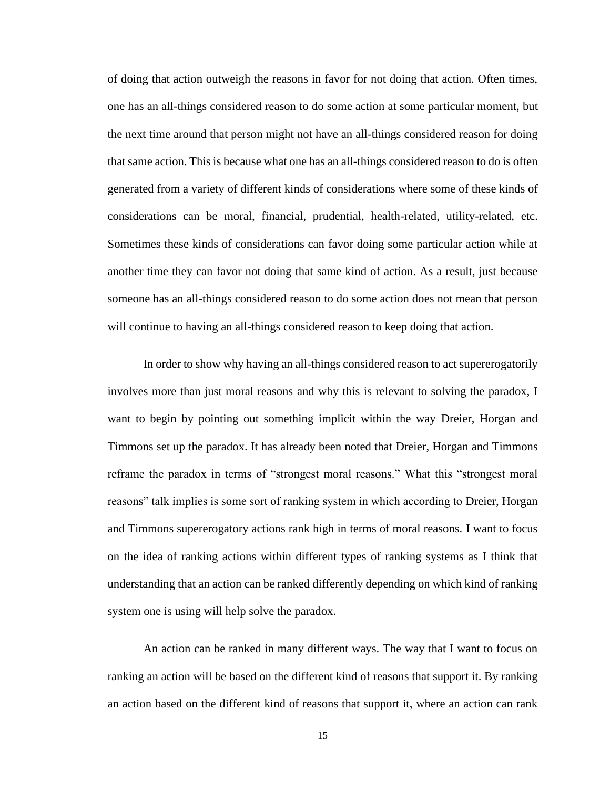of doing that action outweigh the reasons in favor for not doing that action. Often times, one has an all-things considered reason to do some action at some particular moment, but the next time around that person might not have an all-things considered reason for doing that same action. This is because what one has an all-things considered reason to do is often generated from a variety of different kinds of considerations where some of these kinds of considerations can be moral, financial, prudential, health-related, utility-related, etc. Sometimes these kinds of considerations can favor doing some particular action while at another time they can favor not doing that same kind of action. As a result, just because someone has an all-things considered reason to do some action does not mean that person will continue to having an all-things considered reason to keep doing that action.

In order to show why having an all-things considered reason to act supererogatorily involves more than just moral reasons and why this is relevant to solving the paradox, I want to begin by pointing out something implicit within the way Dreier, Horgan and Timmons set up the paradox. It has already been noted that Dreier, Horgan and Timmons reframe the paradox in terms of "strongest moral reasons." What this "strongest moral reasons" talk implies is some sort of ranking system in which according to Dreier, Horgan and Timmons supererogatory actions rank high in terms of moral reasons. I want to focus on the idea of ranking actions within different types of ranking systems as I think that understanding that an action can be ranked differently depending on which kind of ranking system one is using will help solve the paradox.

An action can be ranked in many different ways. The way that I want to focus on ranking an action will be based on the different kind of reasons that support it. By ranking an action based on the different kind of reasons that support it, where an action can rank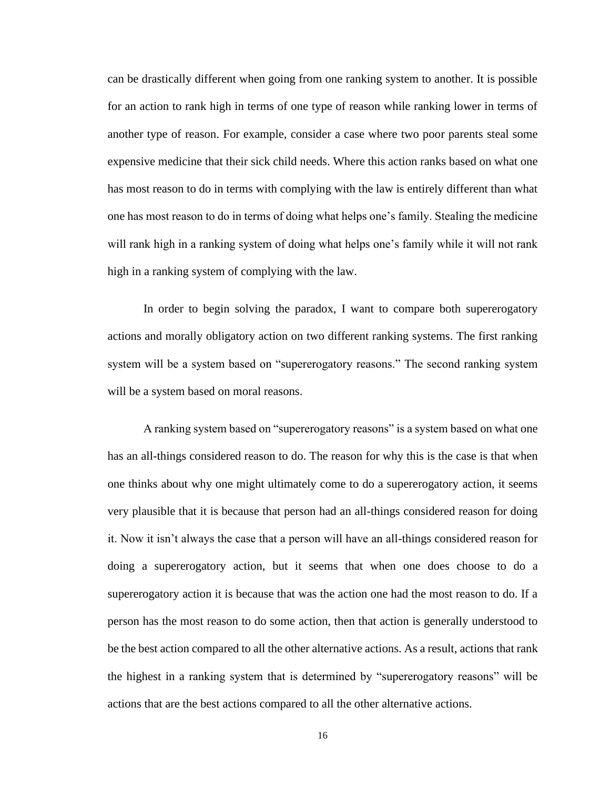can be drastically different when going from one ranking system to another. It is possible for an action to rank high in terms of one type of reason while ranking lower in terms of another type of reason. For example, consider a case where two poor parents steal some expensive medicine that their sick child needs. Where this action ranks based on what one has most reason to do in terms with complying with the law is entirely different than what one has most reason to do in terms of doing what helps one's family. Stealing the medicine will rank high in a ranking system of doing what helps one's family while it will not rank high in a ranking system of complying with the law.

In order to begin solving the paradox, I want to compare both supererogatory actions and morally obligatory action on two different ranking systems. The first ranking system will be a system based on "supererogatory reasons." The second ranking system will be a system based on moral reasons.

A ranking system based on "supererogatory reasons" is a system based on what one has an all-things considered reason to do. The reason for why this is the case is that when one thinks about why one might ultimately come to do a supererogatory action, it seems very plausible that it is because that person had an all-things considered reason for doing it. Now it isn't always the case that a person will have an all-things considered reason for doing a supererogatory action, but it seems that when one does choose to do a supererogatory action it is because that was the action one had the most reason to do. If a person has the most reason to do some action, then that action is generally understood to be the best action compared to all the other alternative actions. As a result, actions that rank the highest in a ranking system that is determined by "supererogatory reasons" will be actions that are the best actions compared to all the other alternative actions.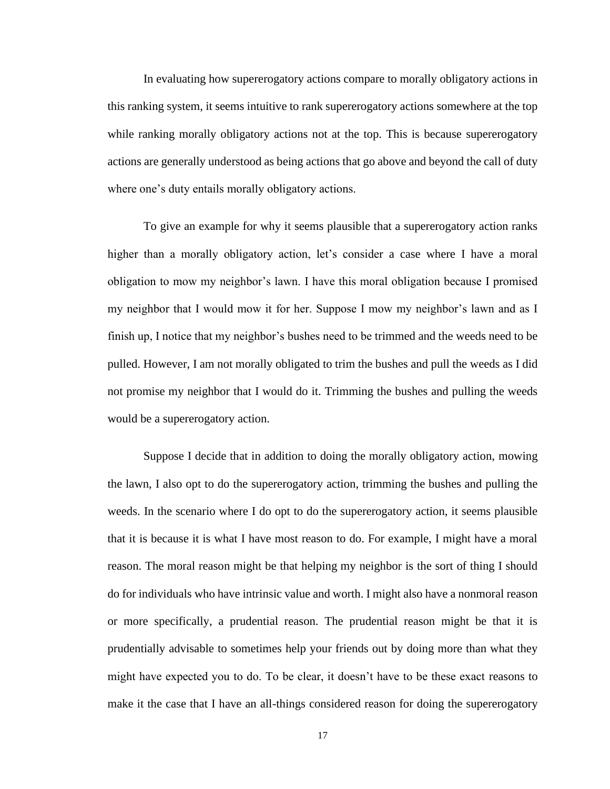In evaluating how supererogatory actions compare to morally obligatory actions in this ranking system, it seems intuitive to rank supererogatory actions somewhere at the top while ranking morally obligatory actions not at the top. This is because supererogatory actions are generally understood as being actions that go above and beyond the call of duty where one's duty entails morally obligatory actions.

To give an example for why it seems plausible that a supererogatory action ranks higher than a morally obligatory action, let's consider a case where I have a moral obligation to mow my neighbor's lawn. I have this moral obligation because I promised my neighbor that I would mow it for her. Suppose I mow my neighbor's lawn and as I finish up, I notice that my neighbor's bushes need to be trimmed and the weeds need to be pulled. However, I am not morally obligated to trim the bushes and pull the weeds as I did not promise my neighbor that I would do it. Trimming the bushes and pulling the weeds would be a supererogatory action.

Suppose I decide that in addition to doing the morally obligatory action, mowing the lawn, I also opt to do the supererogatory action, trimming the bushes and pulling the weeds. In the scenario where I do opt to do the supererogatory action, it seems plausible that it is because it is what I have most reason to do. For example, I might have a moral reason. The moral reason might be that helping my neighbor is the sort of thing I should do for individuals who have intrinsic value and worth. I might also have a nonmoral reason or more specifically, a prudential reason. The prudential reason might be that it is prudentially advisable to sometimes help your friends out by doing more than what they might have expected you to do. To be clear, it doesn't have to be these exact reasons to make it the case that I have an all-things considered reason for doing the supererogatory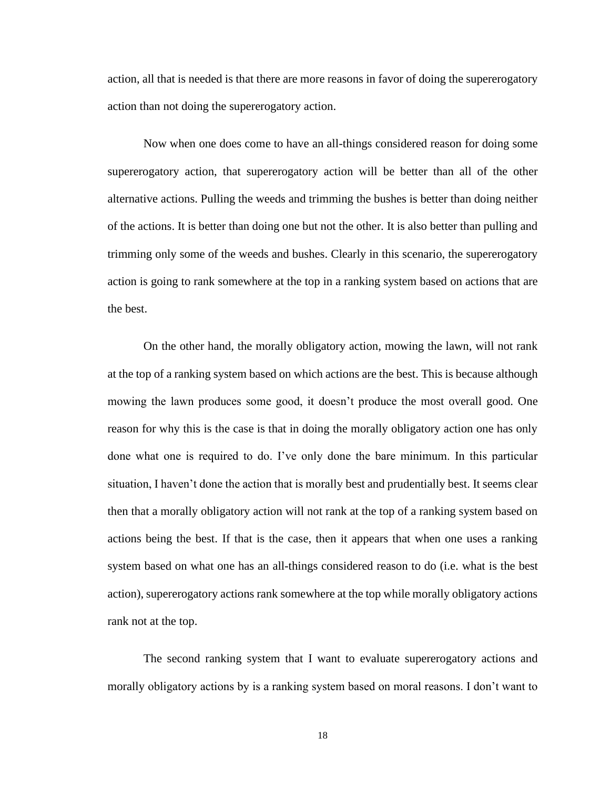action, all that is needed is that there are more reasons in favor of doing the supererogatory action than not doing the supererogatory action.

Now when one does come to have an all-things considered reason for doing some supererogatory action, that supererogatory action will be better than all of the other alternative actions. Pulling the weeds and trimming the bushes is better than doing neither of the actions. It is better than doing one but not the other. It is also better than pulling and trimming only some of the weeds and bushes. Clearly in this scenario, the supererogatory action is going to rank somewhere at the top in a ranking system based on actions that are the best.

On the other hand, the morally obligatory action, mowing the lawn, will not rank at the top of a ranking system based on which actions are the best. This is because although mowing the lawn produces some good, it doesn't produce the most overall good. One reason for why this is the case is that in doing the morally obligatory action one has only done what one is required to do. I've only done the bare minimum. In this particular situation, I haven't done the action that is morally best and prudentially best. It seems clear then that a morally obligatory action will not rank at the top of a ranking system based on actions being the best. If that is the case, then it appears that when one uses a ranking system based on what one has an all-things considered reason to do (i.e. what is the best action), supererogatory actions rank somewhere at the top while morally obligatory actions rank not at the top.

The second ranking system that I want to evaluate supererogatory actions and morally obligatory actions by is a ranking system based on moral reasons. I don't want to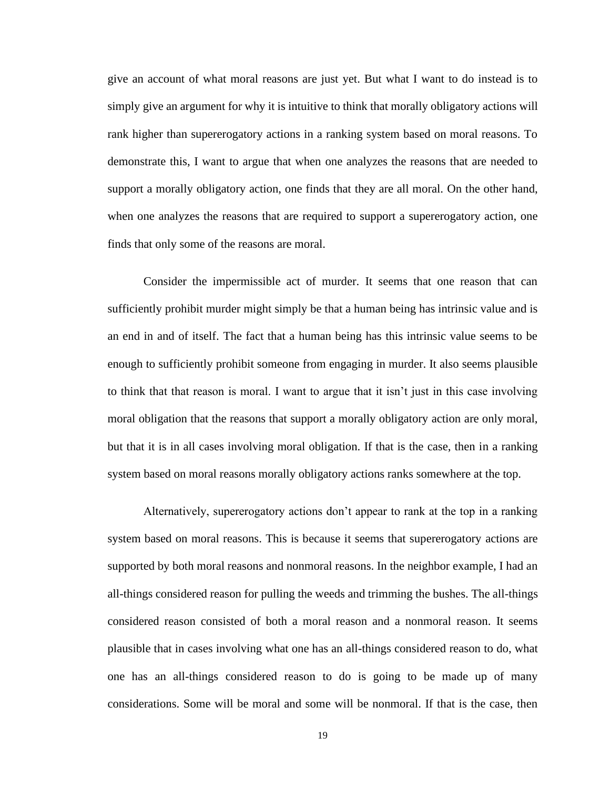give an account of what moral reasons are just yet. But what I want to do instead is to simply give an argument for why it is intuitive to think that morally obligatory actions will rank higher than supererogatory actions in a ranking system based on moral reasons. To demonstrate this, I want to argue that when one analyzes the reasons that are needed to support a morally obligatory action, one finds that they are all moral. On the other hand, when one analyzes the reasons that are required to support a supererogatory action, one finds that only some of the reasons are moral.

Consider the impermissible act of murder. It seems that one reason that can sufficiently prohibit murder might simply be that a human being has intrinsic value and is an end in and of itself. The fact that a human being has this intrinsic value seems to be enough to sufficiently prohibit someone from engaging in murder. It also seems plausible to think that that reason is moral. I want to argue that it isn't just in this case involving moral obligation that the reasons that support a morally obligatory action are only moral, but that it is in all cases involving moral obligation. If that is the case, then in a ranking system based on moral reasons morally obligatory actions ranks somewhere at the top.

Alternatively, supererogatory actions don't appear to rank at the top in a ranking system based on moral reasons. This is because it seems that supererogatory actions are supported by both moral reasons and nonmoral reasons. In the neighbor example, I had an all-things considered reason for pulling the weeds and trimming the bushes. The all-things considered reason consisted of both a moral reason and a nonmoral reason. It seems plausible that in cases involving what one has an all-things considered reason to do, what one has an all-things considered reason to do is going to be made up of many considerations. Some will be moral and some will be nonmoral. If that is the case, then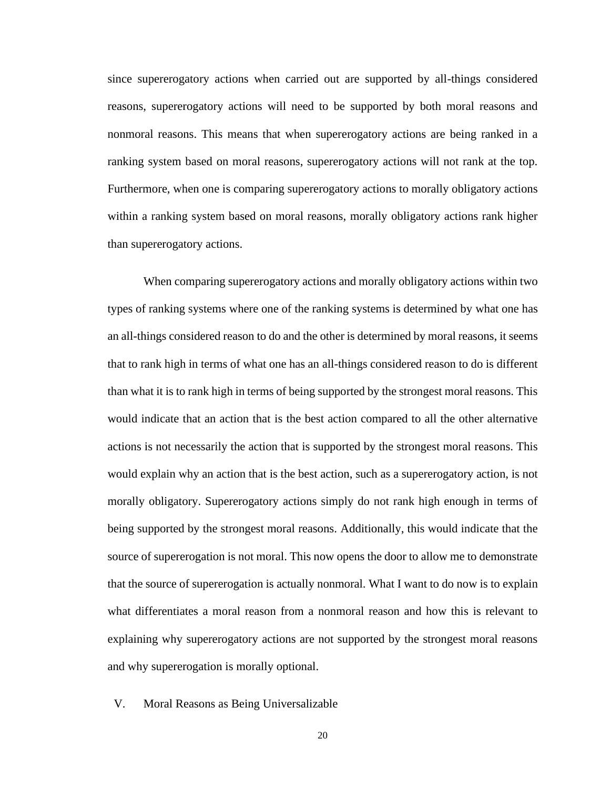since supererogatory actions when carried out are supported by all-things considered reasons, supererogatory actions will need to be supported by both moral reasons and nonmoral reasons. This means that when supererogatory actions are being ranked in a ranking system based on moral reasons, supererogatory actions will not rank at the top. Furthermore, when one is comparing supererogatory actions to morally obligatory actions within a ranking system based on moral reasons, morally obligatory actions rank higher than supererogatory actions.

When comparing supererogatory actions and morally obligatory actions within two types of ranking systems where one of the ranking systems is determined by what one has an all-things considered reason to do and the other is determined by moral reasons, it seems that to rank high in terms of what one has an all-things considered reason to do is different than what it is to rank high in terms of being supported by the strongest moral reasons. This would indicate that an action that is the best action compared to all the other alternative actions is not necessarily the action that is supported by the strongest moral reasons. This would explain why an action that is the best action, such as a supererogatory action, is not morally obligatory. Supererogatory actions simply do not rank high enough in terms of being supported by the strongest moral reasons. Additionally, this would indicate that the source of supererogation is not moral. This now opens the door to allow me to demonstrate that the source of supererogation is actually nonmoral. What I want to do now is to explain what differentiates a moral reason from a nonmoral reason and how this is relevant to explaining why supererogatory actions are not supported by the strongest moral reasons and why supererogation is morally optional.

V. Moral Reasons as Being Universalizable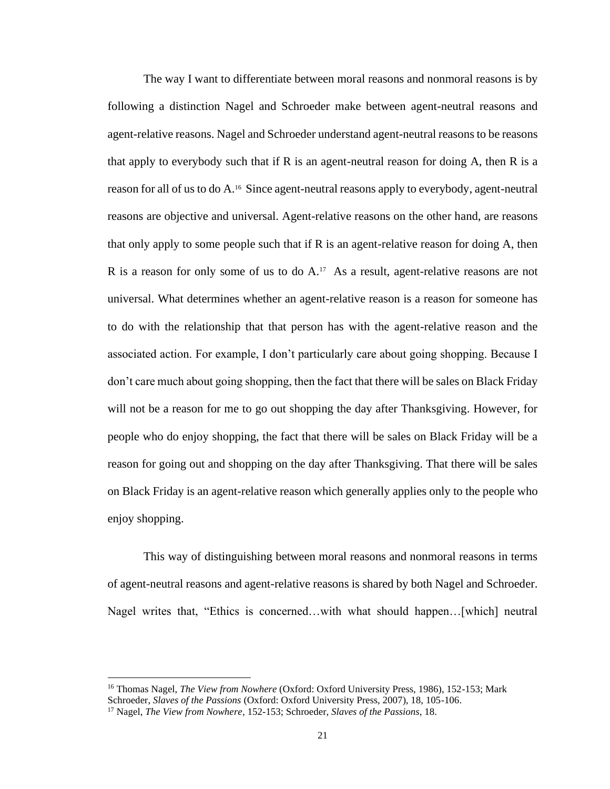The way I want to differentiate between moral reasons and nonmoral reasons is by following a distinction Nagel and Schroeder make between agent-neutral reasons and agent-relative reasons. Nagel and Schroeder understand agent-neutral reasons to be reasons that apply to everybody such that if R is an agent-neutral reason for doing A, then R is a reason for all of us to do A.<sup>16</sup> Since agent-neutral reasons apply to everybody, agent-neutral reasons are objective and universal. Agent-relative reasons on the other hand, are reasons that only apply to some people such that if R is an agent-relative reason for doing A, then R is a reason for only some of us to do  $A<sup>17</sup>$ . As a result, agent-relative reasons are not universal. What determines whether an agent-relative reason is a reason for someone has to do with the relationship that that person has with the agent-relative reason and the associated action. For example, I don't particularly care about going shopping. Because I don't care much about going shopping, then the fact that there will be sales on Black Friday will not be a reason for me to go out shopping the day after Thanksgiving. However, for people who do enjoy shopping, the fact that there will be sales on Black Friday will be a reason for going out and shopping on the day after Thanksgiving. That there will be sales on Black Friday is an agent-relative reason which generally applies only to the people who enjoy shopping.

This way of distinguishing between moral reasons and nonmoral reasons in terms of agent-neutral reasons and agent-relative reasons is shared by both Nagel and Schroeder. Nagel writes that, "Ethics is concerned…with what should happen…[which] neutral

<sup>16</sup> Thomas Nagel, *The View from Nowhere* (Oxford: Oxford University Press, 1986), 152-153; Mark Schroeder, *Slaves of the Passions* (Oxford: Oxford University Press, 2007), 18, 105-106.

<sup>17</sup> Nagel, *The View from Nowhere*, 152-153; Schroeder, *Slaves of the Passions*, 18.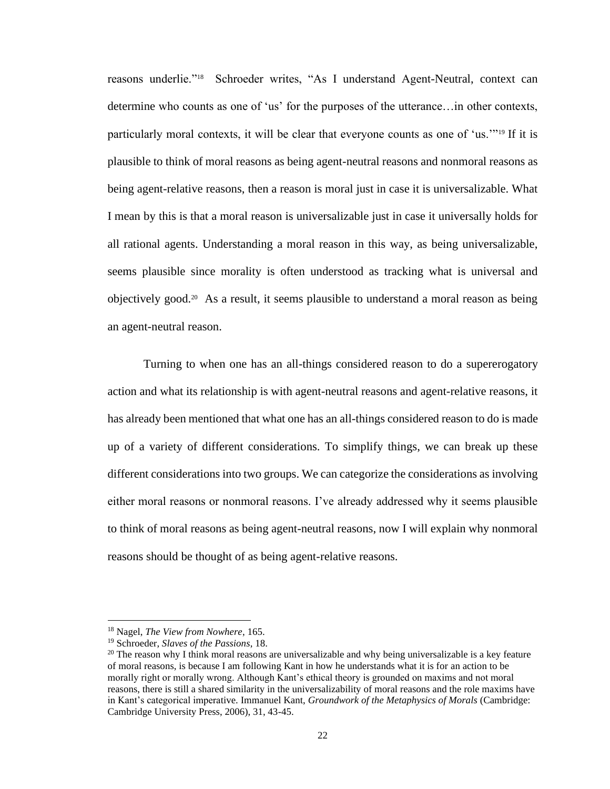reasons underlie."<sup>18</sup> Schroeder writes, "As I understand Agent-Neutral, context can determine who counts as one of 'us' for the purposes of the utterance…in other contexts, particularly moral contexts, it will be clear that everyone counts as one of 'us.'"<sup>19</sup> If it is plausible to think of moral reasons as being agent-neutral reasons and nonmoral reasons as being agent-relative reasons, then a reason is moral just in case it is universalizable. What I mean by this is that a moral reason is universalizable just in case it universally holds for all rational agents. Understanding a moral reason in this way, as being universalizable, seems plausible since morality is often understood as tracking what is universal and objectively good.<sup>20</sup> As a result, it seems plausible to understand a moral reason as being an agent-neutral reason.

Turning to when one has an all-things considered reason to do a supererogatory action and what its relationship is with agent-neutral reasons and agent-relative reasons, it has already been mentioned that what one has an all-things considered reason to do is made up of a variety of different considerations. To simplify things, we can break up these different considerations into two groups. We can categorize the considerations as involving either moral reasons or nonmoral reasons. I've already addressed why it seems plausible to think of moral reasons as being agent-neutral reasons, now I will explain why nonmoral reasons should be thought of as being agent-relative reasons.

<sup>18</sup> Nagel, *The View from Nowhere*, 165.

<sup>19</sup> Schroeder, *Slaves of the Passions*, 18.

 $20$  The reason why I think moral reasons are universalizable and why being universalizable is a key feature of moral reasons, is because I am following Kant in how he understands what it is for an action to be morally right or morally wrong. Although Kant's ethical theory is grounded on maxims and not moral reasons, there is still a shared similarity in the universalizability of moral reasons and the role maxims have in Kant's categorical imperative. Immanuel Kant, *Groundwork of the Metaphysics of Morals* (Cambridge: Cambridge University Press, 2006), 31, 43-45.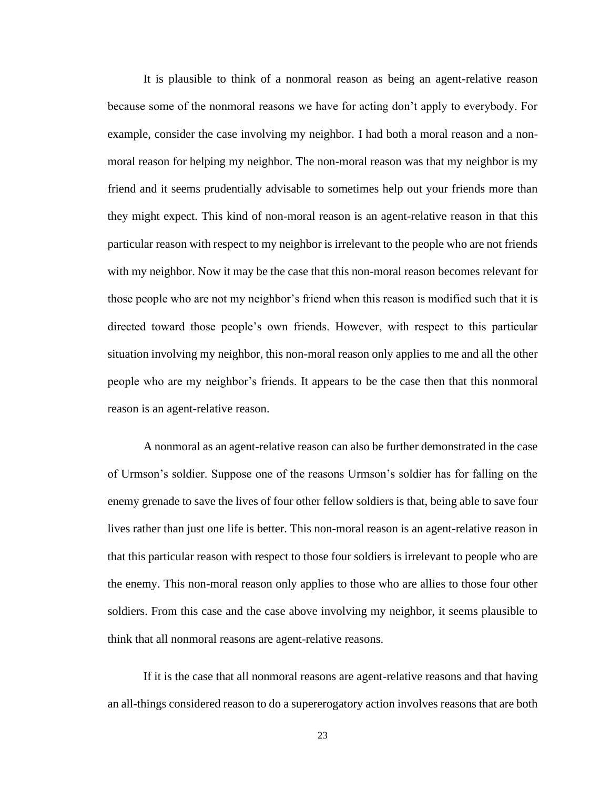It is plausible to think of a nonmoral reason as being an agent-relative reason because some of the nonmoral reasons we have for acting don't apply to everybody. For example, consider the case involving my neighbor. I had both a moral reason and a nonmoral reason for helping my neighbor. The non-moral reason was that my neighbor is my friend and it seems prudentially advisable to sometimes help out your friends more than they might expect. This kind of non-moral reason is an agent-relative reason in that this particular reason with respect to my neighbor is irrelevant to the people who are not friends with my neighbor. Now it may be the case that this non-moral reason becomes relevant for those people who are not my neighbor's friend when this reason is modified such that it is directed toward those people's own friends. However, with respect to this particular situation involving my neighbor, this non-moral reason only applies to me and all the other people who are my neighbor's friends. It appears to be the case then that this nonmoral reason is an agent-relative reason.

A nonmoral as an agent-relative reason can also be further demonstrated in the case of Urmson's soldier. Suppose one of the reasons Urmson's soldier has for falling on the enemy grenade to save the lives of four other fellow soldiers is that, being able to save four lives rather than just one life is better. This non-moral reason is an agent-relative reason in that this particular reason with respect to those four soldiers is irrelevant to people who are the enemy. This non-moral reason only applies to those who are allies to those four other soldiers. From this case and the case above involving my neighbor, it seems plausible to think that all nonmoral reasons are agent-relative reasons.

If it is the case that all nonmoral reasons are agent-relative reasons and that having an all-things considered reason to do a supererogatory action involves reasons that are both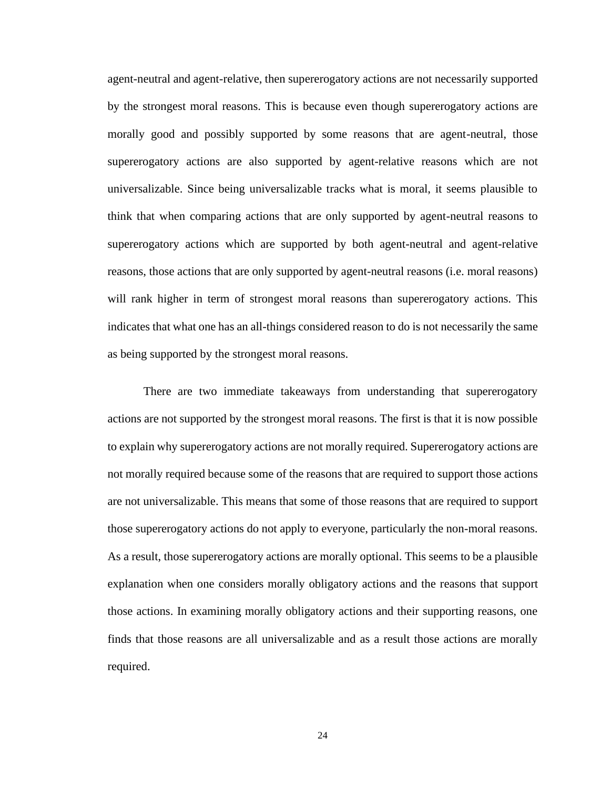agent-neutral and agent-relative, then supererogatory actions are not necessarily supported by the strongest moral reasons. This is because even though supererogatory actions are morally good and possibly supported by some reasons that are agent-neutral, those supererogatory actions are also supported by agent-relative reasons which are not universalizable. Since being universalizable tracks what is moral, it seems plausible to think that when comparing actions that are only supported by agent-neutral reasons to supererogatory actions which are supported by both agent-neutral and agent-relative reasons, those actions that are only supported by agent-neutral reasons (i.e. moral reasons) will rank higher in term of strongest moral reasons than supererogatory actions. This indicates that what one has an all-things considered reason to do is not necessarily the same as being supported by the strongest moral reasons.

There are two immediate takeaways from understanding that supererogatory actions are not supported by the strongest moral reasons. The first is that it is now possible to explain why supererogatory actions are not morally required. Supererogatory actions are not morally required because some of the reasons that are required to support those actions are not universalizable. This means that some of those reasons that are required to support those supererogatory actions do not apply to everyone, particularly the non-moral reasons. As a result, those supererogatory actions are morally optional. This seems to be a plausible explanation when one considers morally obligatory actions and the reasons that support those actions. In examining morally obligatory actions and their supporting reasons, one finds that those reasons are all universalizable and as a result those actions are morally required.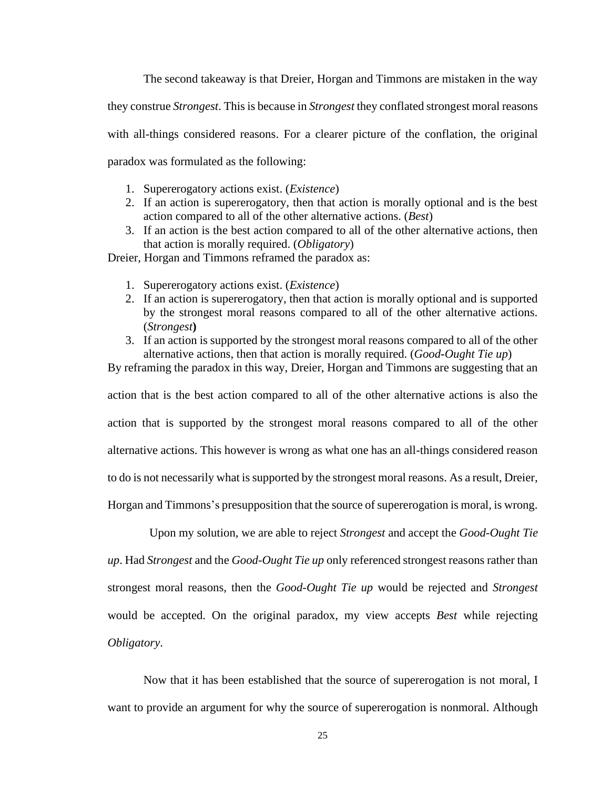The second takeaway is that Dreier, Horgan and Timmons are mistaken in the way

they construe *Strongest*. This is because in *Strongest* they conflated strongest moral reasons

with all-things considered reasons. For a clearer picture of the conflation, the original

paradox was formulated as the following:

- 1. Supererogatory actions exist. (*Existence*)
- 2. If an action is supererogatory, then that action is morally optional and is the best action compared to all of the other alternative actions. (*Best*)
- 3. If an action is the best action compared to all of the other alternative actions, then that action is morally required. (*Obligatory*)

Dreier, Horgan and Timmons reframed the paradox as:

- 1. Supererogatory actions exist. (*Existence*)
- 2. If an action is supererogatory, then that action is morally optional and is supported by the strongest moral reasons compared to all of the other alternative actions. (*Strongest***)**
- 3. If an action is supported by the strongest moral reasons compared to all of the other alternative actions, then that action is morally required. (*Good-Ought Tie up*)

By reframing the paradox in this way, Dreier, Horgan and Timmons are suggesting that an

action that is the best action compared to all of the other alternative actions is also the action that is supported by the strongest moral reasons compared to all of the other alternative actions. This however is wrong as what one has an all-things considered reason to do is not necessarily what is supported by the strongest moral reasons. As a result, Dreier, Horgan and Timmons's presupposition that the source of supererogation is moral, is wrong.

 Upon my solution, we are able to reject *Strongest* and accept the *Good-Ought Tie up*. Had *Strongest* and the *Good-Ought Tie up* only referenced strongest reasons rather than strongest moral reasons, then the *Good-Ought Tie up* would be rejected and *Strongest* would be accepted. On the original paradox, my view accepts *Best* while rejecting *Obligatory*.

Now that it has been established that the source of supererogation is not moral, I want to provide an argument for why the source of supererogation is nonmoral. Although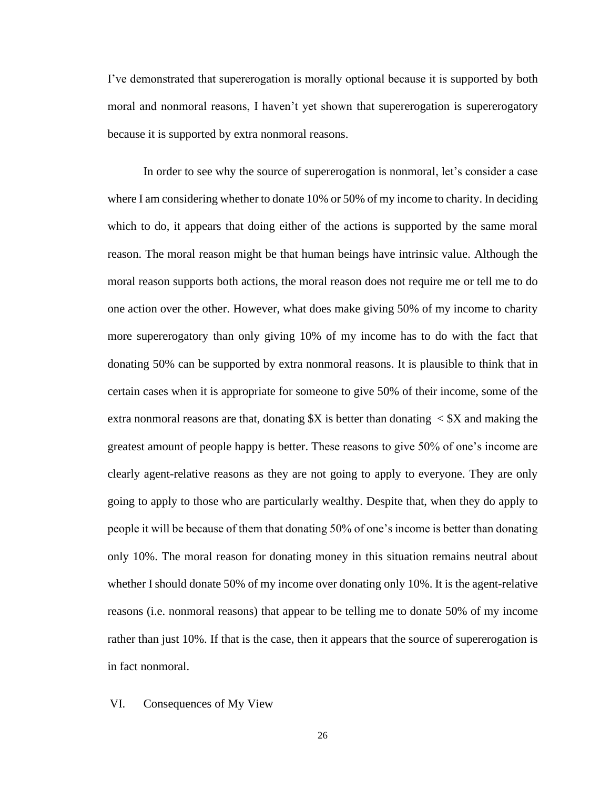I've demonstrated that supererogation is morally optional because it is supported by both moral and nonmoral reasons, I haven't yet shown that supererogation is supererogatory because it is supported by extra nonmoral reasons.

In order to see why the source of supererogation is nonmoral, let's consider a case where I am considering whether to donate 10% or 50% of my income to charity. In deciding which to do, it appears that doing either of the actions is supported by the same moral reason. The moral reason might be that human beings have intrinsic value. Although the moral reason supports both actions, the moral reason does not require me or tell me to do one action over the other. However, what does make giving 50% of my income to charity more supererogatory than only giving 10% of my income has to do with the fact that donating 50% can be supported by extra nonmoral reasons. It is plausible to think that in certain cases when it is appropriate for someone to give 50% of their income, some of the extra nonmoral reasons are that, donating  $X$  is better than donating  $\langle X \rangle$  and making the greatest amount of people happy is better. These reasons to give 50% of one's income are clearly agent-relative reasons as they are not going to apply to everyone. They are only going to apply to those who are particularly wealthy. Despite that, when they do apply to people it will be because of them that donating 50% of one's income is better than donating only 10%. The moral reason for donating money in this situation remains neutral about whether I should donate 50% of my income over donating only 10%. It is the agent-relative reasons (i.e. nonmoral reasons) that appear to be telling me to donate 50% of my income rather than just 10%. If that is the case, then it appears that the source of supererogation is in fact nonmoral.

#### VI. Consequences of My View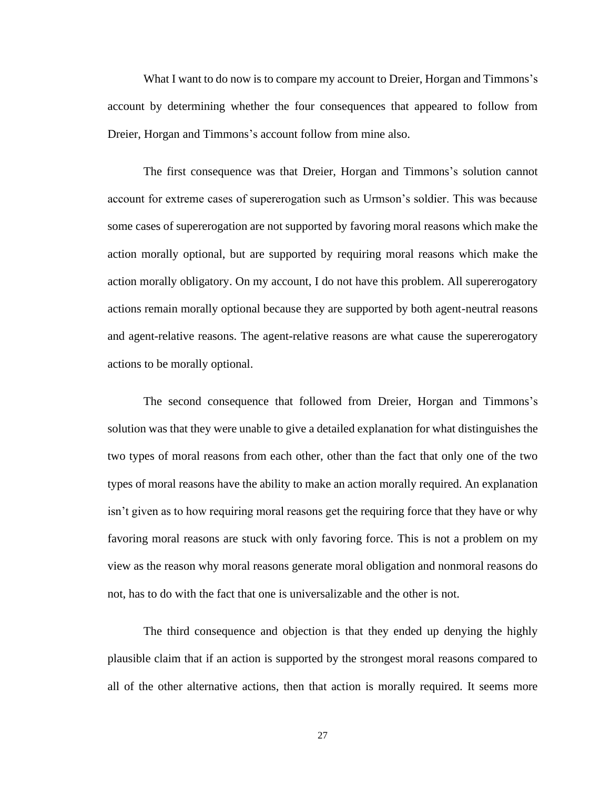What I want to do now is to compare my account to Dreier, Horgan and Timmons's account by determining whether the four consequences that appeared to follow from Dreier, Horgan and Timmons's account follow from mine also.

The first consequence was that Dreier, Horgan and Timmons's solution cannot account for extreme cases of supererogation such as Urmson's soldier. This was because some cases of supererogation are not supported by favoring moral reasons which make the action morally optional, but are supported by requiring moral reasons which make the action morally obligatory. On my account, I do not have this problem. All supererogatory actions remain morally optional because they are supported by both agent-neutral reasons and agent-relative reasons. The agent-relative reasons are what cause the supererogatory actions to be morally optional.

The second consequence that followed from Dreier, Horgan and Timmons's solution was that they were unable to give a detailed explanation for what distinguishes the two types of moral reasons from each other, other than the fact that only one of the two types of moral reasons have the ability to make an action morally required. An explanation isn't given as to how requiring moral reasons get the requiring force that they have or why favoring moral reasons are stuck with only favoring force. This is not a problem on my view as the reason why moral reasons generate moral obligation and nonmoral reasons do not, has to do with the fact that one is universalizable and the other is not.

The third consequence and objection is that they ended up denying the highly plausible claim that if an action is supported by the strongest moral reasons compared to all of the other alternative actions, then that action is morally required. It seems more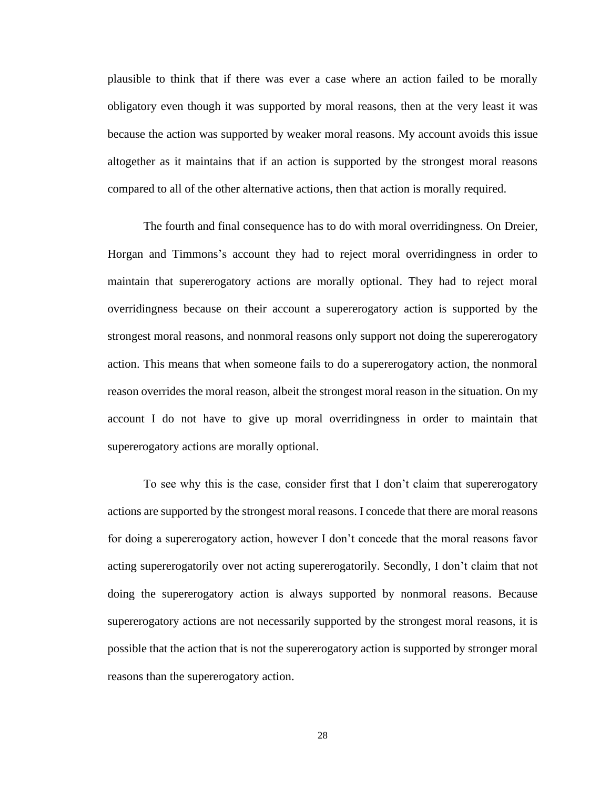plausible to think that if there was ever a case where an action failed to be morally obligatory even though it was supported by moral reasons, then at the very least it was because the action was supported by weaker moral reasons. My account avoids this issue altogether as it maintains that if an action is supported by the strongest moral reasons compared to all of the other alternative actions, then that action is morally required.

The fourth and final consequence has to do with moral overridingness. On Dreier, Horgan and Timmons's account they had to reject moral overridingness in order to maintain that supererogatory actions are morally optional. They had to reject moral overridingness because on their account a supererogatory action is supported by the strongest moral reasons, and nonmoral reasons only support not doing the supererogatory action. This means that when someone fails to do a supererogatory action, the nonmoral reason overrides the moral reason, albeit the strongest moral reason in the situation. On my account I do not have to give up moral overridingness in order to maintain that supererogatory actions are morally optional.

To see why this is the case, consider first that I don't claim that supererogatory actions are supported by the strongest moral reasons. I concede that there are moral reasons for doing a supererogatory action, however I don't concede that the moral reasons favor acting supererogatorily over not acting supererogatorily. Secondly, I don't claim that not doing the supererogatory action is always supported by nonmoral reasons. Because supererogatory actions are not necessarily supported by the strongest moral reasons, it is possible that the action that is not the supererogatory action is supported by stronger moral reasons than the supererogatory action.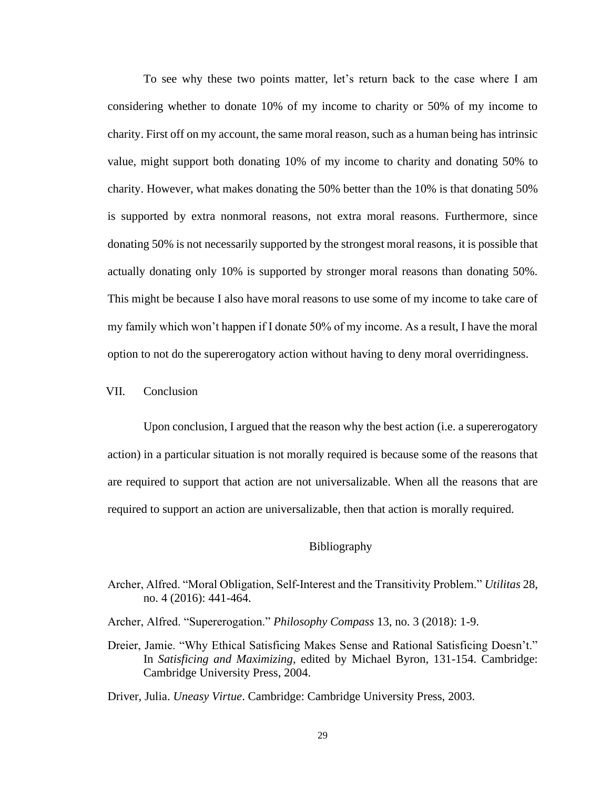To see why these two points matter, let's return back to the case where I am considering whether to donate 10% of my income to charity or 50% of my income to charity. First off on my account, the same moral reason, such as a human being has intrinsic value, might support both donating 10% of my income to charity and donating 50% to charity. However, what makes donating the 50% better than the 10% is that donating 50% is supported by extra nonmoral reasons, not extra moral reasons. Furthermore, since donating 50% is not necessarily supported by the strongest moral reasons, it is possible that actually donating only 10% is supported by stronger moral reasons than donating 50%. This might be because I also have moral reasons to use some of my income to take care of my family which won't happen if I donate 50% of my income. As a result, I have the moral option to not do the supererogatory action without having to deny moral overridingness.

# VII. Conclusion

Upon conclusion, I argued that the reason why the best action (i.e. a supererogatory action) in a particular situation is not morally required is because some of the reasons that are required to support that action are not universalizable. When all the reasons that are required to support an action are universalizable, then that action is morally required.

#### Bibliography

Archer, Alfred. "Moral Obligation, Self-Interest and the Transitivity Problem." *Utilitas* 28, no. 4 (2016): 441-464.

Archer, Alfred. "Supererogation." *Philosophy Compass* 13, no. 3 (2018): 1-9.

Dreier, Jamie. "Why Ethical Satisficing Makes Sense and Rational Satisficing Doesn't." In *Satisficing and Maximizing*, edited by Michael Byron, 131-154. Cambridge: Cambridge University Press, 2004.

Driver, Julia. *Uneasy Virtue*. Cambridge: Cambridge University Press, 2003.